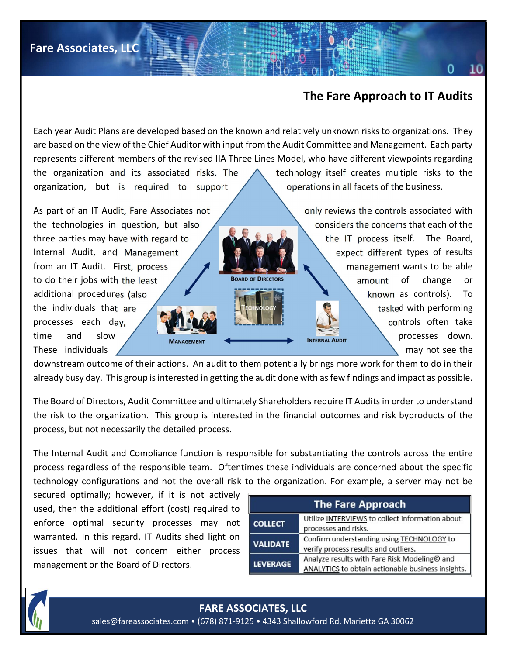## The Fare Approach to IT Audits

Each year Audit Plans are developed based on the known and relatively unknown risks to organizations. They are based on the view of the Chief Auditor with input from the Audit Committee and Management. Each party represents different members of the revised IIA Three Lines Model, who have different viewpoints regarding the organization and its associated risks. The  $\triangle$  technology itself creates multiple risks to the organization, but is required to support  $\setminus$   $\setminus$  operations in all facets of the business.

As part of an IT Audit, Fare Associates not **only reviews the controls associated with** the technologies in question, but also  $\sim$  considers the concerns that each of the three parties may have with regard to  $\Box$  the IT process itself. The Board, Internal Audit, and Management  $\left| \begin{array}{c} \hline \end{array} \right|$   $\left| \begin{array}{c} \hline \end{array} \right|$  expect different types of results from an IT Audit. First, process  $\mathcal{L}$  management wants to be able to do their jobs with the least  $\sqrt{2}$  BOARD OF DIRECTORS amount of change or additional procedures (also  $\sqrt{\frac{1}{2}}$  known as controls). To the individuals that are the state of tasked with performing processes each day,  $\sqrt{2}$  controls often take time and slow **processes down.** These individuals  $\sqrt{m}$  may not see the

downstream outcome of their actions. An audit to them potentially brings more work for them to do in their already busy day. This group is interested in getting the audit done with as few findings and impact as possible.

The Board of Directors, Audit Committee and ultimately Shareholders require IT Audits in order to understand the risk to the organization. This group is interested in the financial outcomes and risk byproducts of the process, but not necessarily the detailed process.

The Internal Audit and Compliance function is responsible for substantiating the controls across the entire process regardless of the responsible team. Oftentimes these individuals are concerned about the specific technology configurations and not the overall risk to the organization. For example, a server may not be

secured optimally; however, if it is not actively used, then the additional effort (cost) required to enforce optimal security processes may not warranted. In this regard, IT Audits shed light on issues that will not concern either process management or the Board of Directors.

| <b>The Fare Approach</b> |                                                                                                   |  |  |  |  |  |  |
|--------------------------|---------------------------------------------------------------------------------------------------|--|--|--|--|--|--|
| <b>COLLECT</b>           | Utilize INTERVIEWS to collect information about<br>processes and risks.                           |  |  |  |  |  |  |
| <b>VALIDATE</b>          | Confirm understanding using TECHNOLOGY to<br>verify process results and outliers.                 |  |  |  |  |  |  |
| <b>LEVERAGE</b>          | Analyze results with Fare Risk Modeling© and<br>ANALYTICS to obtain actionable business insights. |  |  |  |  |  |  |